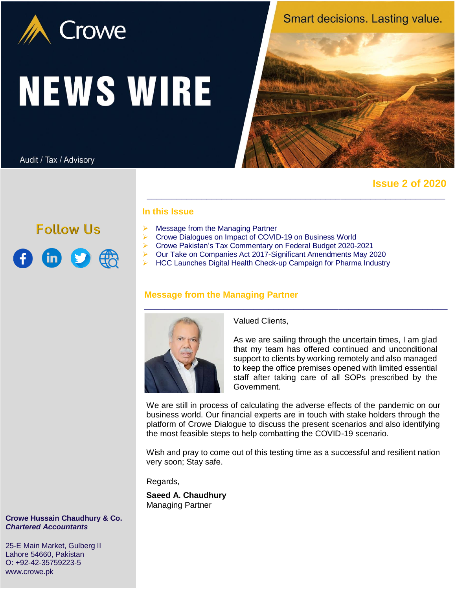

# **NEWS WIRE**

Audit / Tax / Advisory

**Follow Us** 

 $\bigoplus$  in  $\bigcirc$   $\bigoplus$ 

Smart decisions. Lasting value.



 **Issue 2 of 2020**

# **In this Issue**

- $\triangleright$  Message from the Managing Partner
- ▶ Crowe Dialogues on Impact of COVID-19 on Business World
- Crowe Pakistan's Tax Commentary on Federal Budget 2020-2021
- Our Take on Companies Act 2017-Significant Amendments May 2020
	- HCC Launches Digital Health Check-up Campaign for Pharma Industry

\_\_\_\_\_\_\_\_\_\_\_\_\_\_\_\_\_\_\_\_\_\_\_\_\_\_\_\_\_\_\_\_\_\_\_\_\_\_\_\_\_\_\_\_\_\_\_\_\_\_\_\_\_\_\_\_\_\_\_\_

# **Message from the Managing Partner**



Valued Clients,

As we are sailing through the uncertain times, I am glad that my team has offered continued and unconditional support to clients by working remotely and also managed to keep the office premises opened with limited essential staff after taking care of all SOPs prescribed by the Government.

We are still in process of calculating the adverse effects of the pandemic on our business world. Our financial experts are in touch with stake holders through the platform of Crowe Dialogue to discuss the present scenarios and also identifying the most feasible steps to help combatting the COVID-19 scenario.

Wish and pray to come out of this testing time as a successful and resilient nation very soon; Stay safe.

Regards,

**Saeed A. Chaudhury** Managing Partner

**Crowe Hussain Chaudhury & Co.** *Chartered Accountants*

25-E Main Market, Gulberg II Lahore 54660, Pakistan O: +92-42-35759223-5 [www.crowe.pk](http://www.crowe.pk/)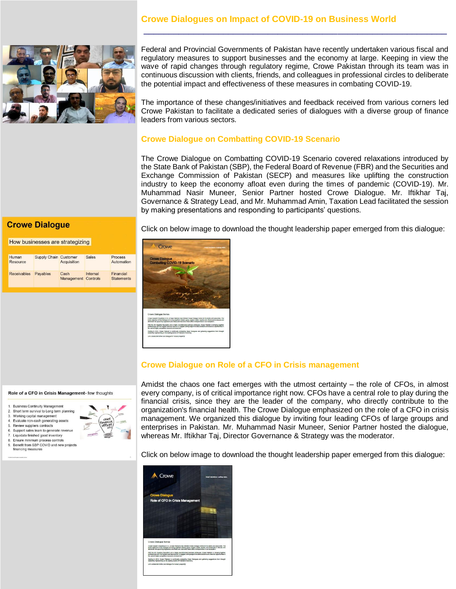# **Crowe Dialogues on Impact of COVID-19 on Business World**



Federal and Provincial Governments of Pakistan have recently undertaken various fiscal and regulatory measures to support businesses and the economy at large. Keeping in view the wave of rapid changes through regulatory regime, Crowe Pakistan through its team was in continuous discussion with clients, friends, and colleagues in professional circles to deliberate the potential impact and effectiveness of these measures in combating COVID-19.

\_\_\_\_\_\_\_\_\_\_\_\_\_\_\_\_\_\_\_\_\_\_\_\_\_\_\_\_\_\_\_\_\_\_\_\_\_\_\_\_\_\_\_\_\_\_\_\_\_\_\_\_\_\_\_\_\_\_\_\_\_

The importance of these changes/initiatives and feedback received from various corners led Crowe Pakistan to facilitate a dedicated series of dialogues with a diverse group of finance leaders from various sectors.

# **Crowe Dialogue on Combatting COVID-19 Scenario**

The Crowe Dialogue on Combatting COVID-19 Scenario covered relaxations introduced by the State Bank of Pakistan (SBP), the Federal Board of Revenue (FBR) and the Securities and Exchange Commission of Pakistan (SECP) and measures like uplifting the construction industry to keep the economy afloat even during the times of pandemic (COVID-19). Mr. Muhammad Nasir Muneer, Senior Partner hosted Crowe Dialogue. Mr. Iftikhar Taj, Governance & Strategy Lead, and Mr. Muhammad Amin, Taxation Lead facilitated the session by making presentations and responding to participants' questions.

## **Crowe Dialogue**

### How businesses are strategizing

| Human<br>Resource<br><b>Receivables</b> | <b>Supply Chain Customer</b> | Acquisition                 | <b>Sales</b> | Process<br>Automation          |
|-----------------------------------------|------------------------------|-----------------------------|--------------|--------------------------------|
|                                         | Payables                     | Cash<br>Management Controls | Internal     | Financial<br><b>Statements</b> |

Click on below image to download the thought leadership paper emerged from this dialogue:



# **Crowe Dialogue on Role of a CFO in Crisis management**

### Role of a CFO in Crisis Management- few thoughts

- **Business Continuity Managemen**
- $\overline{2}$ Short term survival to Long term planning Working capital management
- Evaluate non-cash generating assets
- $\overline{5}$ Review suppliers contracts
- 6. Support sales team to generate revenue
- 7. Liquidate finished good inventory Ensure minimum process controls
- $\mathbf{Q}$ Benefit from SBP COVID and new projects
- financing measur

Amidst the chaos one fact emerges with the utmost certainty – the role of CFOs, in almost every company, is of critical importance right now. CFOs have a central role to play during the financial crisis, since they are the leader of the company, who directly contribute to the organization's financial health. The Crowe Dialogue emphasized on the role of a CFO in crisis management. We organized this dialogue by inviting four leading CFOs of large groups and enterprises in Pakistan. Mr. Muhammad Nasir Muneer, Senior Partner hosted the dialogue, whereas Mr. Iftikhar Taj, Director Governance & Strategy was the moderator.

Click on below image to download the thought leadership paper emerged from this dialogue:

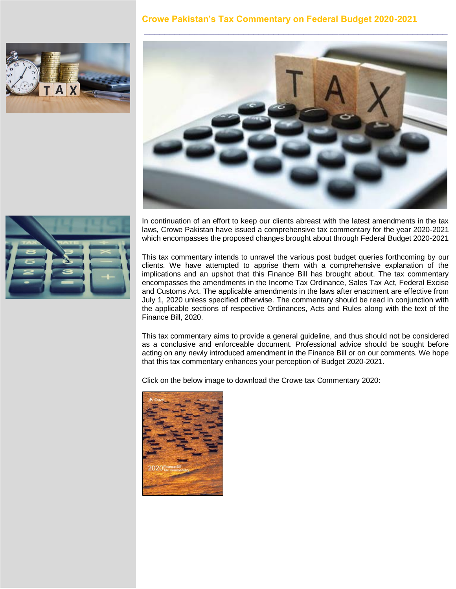# **Crowe Pakistan's Tax Commentary on Federal Budget 2020-2021**







In continuation of an effort to keep our clients abreast with the latest amendments in the tax laws, Crowe Pakistan have issued a comprehensive tax commentary for the year 2020-2021 which encompasses the proposed changes brought about through Federal Budget 2020-2021

This tax commentary intends to unravel the various post budget queries forthcoming by our clients. We have attempted to apprise them with a comprehensive explanation of the implications and an upshot that this Finance Bill has brought about. The tax commentary encompasses the amendments in the Income Tax Ordinance, Sales Tax Act, Federal Excise and Customs Act. The applicable amendments in the laws after enactment are effective from July 1, 2020 unless specified otherwise. The commentary should be read in conjunction with the applicable sections of respective Ordinances, Acts and Rules along with the text of the Finance Bill, 2020.

This tax commentary aims to provide a general guideline, and thus should not be considered as a conclusive and enforceable document. Professional advice should be sought before acting on any newly introduced amendment in the Finance Bill or on our comments. We hope that this tax commentary enhances your perception of Budget 2020-2021.

Click on the below image to download the Crowe tax Commentary 2020:

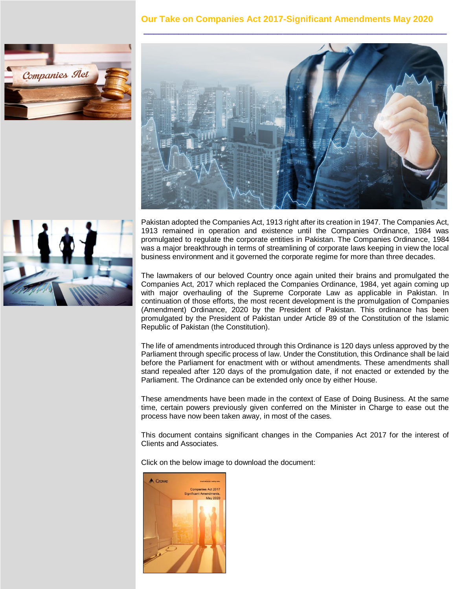# **Our Take on Companies Act 2017-Significant Amendments May 2020**

\_\_\_\_\_\_\_\_\_\_\_\_\_\_\_\_\_\_\_\_\_\_\_\_\_\_\_\_\_\_\_\_\_\_\_\_\_\_\_\_\_\_\_\_\_\_\_\_\_\_\_\_\_\_\_\_\_\_\_\_\_







Pakistan adopted the Companies Act, 1913 right after its creation in 1947. The Companies Act, 1913 remained in operation and existence until the Companies Ordinance, 1984 was promulgated to regulate the corporate entities in Pakistan. The Companies Ordinance, 1984 was a major breakthrough in terms of streamlining of corporate laws keeping in view the local business environment and it governed the corporate regime for more than three decades.

The lawmakers of our beloved Country once again united their brains and promulgated the Companies Act, 2017 which replaced the Companies Ordinance, 1984, yet again coming up with major overhauling of the Supreme Corporate Law as applicable in Pakistan. In continuation of those efforts, the most recent development is the promulgation of Companies (Amendment) Ordinance, 2020 by the President of Pakistan. This ordinance has been promulgated by the President of Pakistan under Article 89 of the Constitution of the Islamic Republic of Pakistan (the Constitution).

The life of amendments introduced through this Ordinance is 120 days unless approved by the Parliament through specific process of law. Under the Constitution, this Ordinance shall be laid before the Parliament for enactment with or without amendments. These amendments shall stand repealed after 120 days of the promulgation date, if not enacted or extended by the Parliament. The Ordinance can be extended only once by either House.

These amendments have been made in the context of Ease of Doing Business. At the same time, certain powers previously given conferred on the Minister in Charge to ease out the process have now been taken away, in most of the cases.

This document contains significant changes in the Companies Act 2017 for the interest of Clients and Associates.

Click on the below image to download the document: